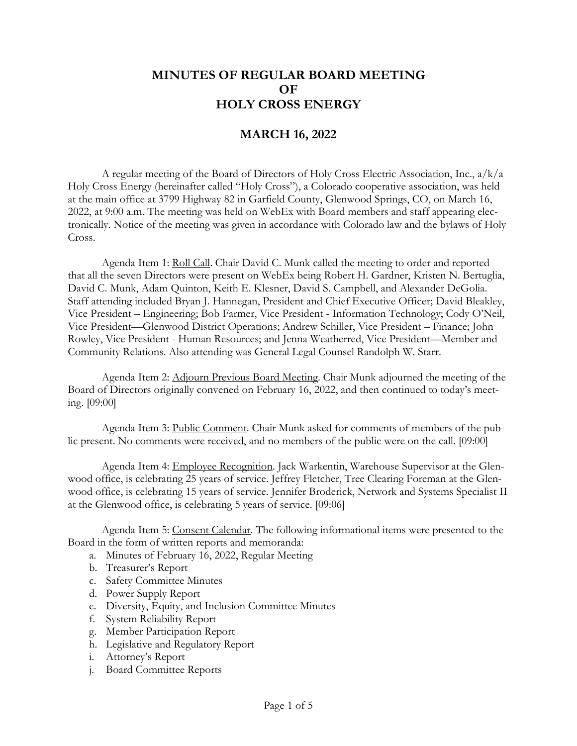## **MINUTES OF REGULAR BOARD MEETING OF HOLY CROSS ENERGY**

## **MARCH 16, 2022**

A regular meeting of the Board of Directors of Holy Cross Electric Association, Inc., a/k/a Holy Cross Energy (hereinafter called "Holy Cross"), a Colorado cooperative association, was held at the main office at 3799 Highway 82 in Garfield County, Glenwood Springs, CO, on March 16, 2022, at 9:00 a.m. The meeting was held on WebEx with Board members and staff appearing electronically. Notice of the meeting was given in accordance with Colorado law and the bylaws of Holy Cross.

Agenda Item 1: Roll Call. Chair David C. Munk called the meeting to order and reported that all the seven Directors were present on WebEx being Robert H. Gardner, Kristen N. Bertuglia, David C. Munk, Adam Quinton, Keith E. Klesner, David S. Campbell, and Alexander DeGolia. Staff attending included Bryan J. Hannegan, President and Chief Executive Officer; David Bleakley, Vice President – Engineering; Bob Farmer, Vice President - Information Technology; Cody O'Neil, Vice President—Glenwood District Operations; Andrew Schiller, Vice President – Finance; John Rowley, Vice President - Human Resources; and Jenna Weatherred, Vice President—Member and Community Relations. Also attending was General Legal Counsel Randolph W. Starr.

Agenda Item 2: Adjourn Previous Board Meeting. Chair Munk adjourned the meeting of the Board of Directors originally convened on February 16, 2022, and then continued to today's meeting. [09:00]

Agenda Item 3: Public Comment. Chair Munk asked for comments of members of the public present. No comments were received, and no members of the public were on the call. [09:00]

Agenda Item 4: Employee Recognition. Jack Warkentin, Warehouse Supervisor at the Glenwood office, is celebrating 25 years of service. Jeffrey Fletcher, Tree Clearing Foreman at the Glenwood office, is celebrating 15 years of service. Jennifer Broderick, Network and Systems Specialist II at the Glenwood office, is celebrating 5 years of service. [09:06]

Agenda Item 5: Consent Calendar. The following informational items were presented to the Board in the form of written reports and memoranda:

a. Minutes of February 16, 2022, Regular Meeting

- b. Treasurer's Report
- c. Safety Committee Minutes
- d. Power Supply Report
- e. Diversity, Equity, and Inclusion Committee Minutes
- f. System Reliability Report
- g. Member Participation Report
- h. Legislative and Regulatory Report
- i. Attorney's Report
- j. Board Committee Reports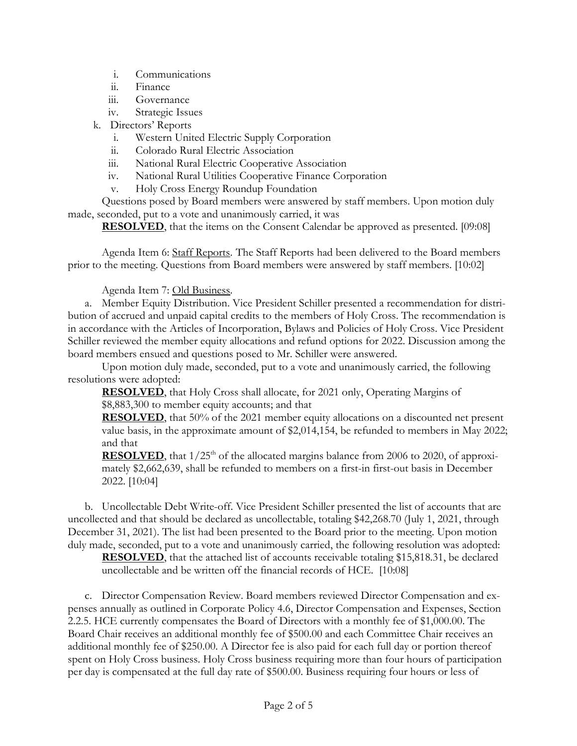- i. Communications
- ii. Finance
- iii. Governance
- iv. Strategic Issues
- k. Directors' Reports
	- i. Western United Electric Supply Corporation
	- ii. Colorado Rural Electric Association
	- iii. National Rural Electric Cooperative Association
	- iv. National Rural Utilities Cooperative Finance Corporation
	- v. Holy Cross Energy Roundup Foundation

Questions posed by Board members were answered by staff members. Upon motion duly made, seconded, put to a vote and unanimously carried, it was

**RESOLVED**, that the items on the Consent Calendar be approved as presented. [09:08]

Agenda Item 6: Staff Reports. The Staff Reports had been delivered to the Board members prior to the meeting. Questions from Board members were answered by staff members. [10:02]

Agenda Item 7: Old Business.

a. Member Equity Distribution. Vice President Schiller presented a recommendation for distribution of accrued and unpaid capital credits to the members of Holy Cross. The recommendation is in accordance with the Articles of Incorporation, Bylaws and Policies of Holy Cross. Vice President Schiller reviewed the member equity allocations and refund options for 2022. Discussion among the board members ensued and questions posed to Mr. Schiller were answered.

Upon motion duly made, seconded, put to a vote and unanimously carried, the following resolutions were adopted:

**RESOLVED**, that Holy Cross shall allocate, for 2021 only, Operating Margins of \$8,883,300 to member equity accounts; and that

**RESOLVED**, that 50% of the 2021 member equity allocations on a discounted net present value basis, in the approximate amount of \$2,014,154, be refunded to members in May 2022; and that

**RESOLVED**, that  $1/25<sup>th</sup>$  of the allocated margins balance from 2006 to 2020, of approximately \$2,662,639, shall be refunded to members on a first-in first-out basis in December 2022. [10:04]

b. Uncollectable Debt Write-off. Vice President Schiller presented the list of accounts that are uncollected and that should be declared as uncollectable, totaling \$42,268.70 (July 1, 2021, through December 31, 2021). The list had been presented to the Board prior to the meeting. Upon motion duly made, seconded, put to a vote and unanimously carried, the following resolution was adopted:

**RESOLVED**, that the attached list of accounts receivable totaling \$15,818.31, be declared uncollectable and be written off the financial records of HCE. [10:08]

c. Director Compensation Review. Board members reviewed Director Compensation and expenses annually as outlined in Corporate Policy 4.6, Director Compensation and Expenses, Section 2.2.5. HCE currently compensates the Board of Directors with a monthly fee of \$1,000.00. The Board Chair receives an additional monthly fee of \$500.00 and each Committee Chair receives an additional monthly fee of \$250.00. A Director fee is also paid for each full day or portion thereof spent on Holy Cross business. Holy Cross business requiring more than four hours of participation per day is compensated at the full day rate of \$500.00. Business requiring four hours or less of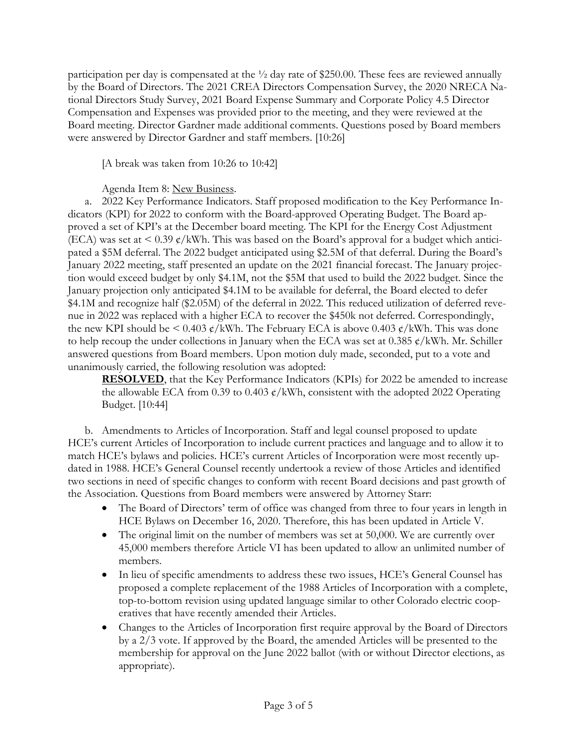participation per day is compensated at the  $\frac{1}{2}$  day rate of \$250.00. These fees are reviewed annually by the Board of Directors. The 2021 CREA Directors Compensation Survey, the 2020 NRECA National Directors Study Survey, 2021 Board Expense Summary and Corporate Policy 4.5 Director Compensation and Expenses was provided prior to the meeting, and they were reviewed at the Board meeting. Director Gardner made additional comments. Questions posed by Board members were answered by Director Gardner and staff members. [10:26]

[A break was taken from 10:26 to 10:42]

Agenda Item 8: New Business.

a. 2022 Key Performance Indicators. Staff proposed modification to the Key Performance Indicators (KPI) for 2022 to conform with the Board-approved Operating Budget. The Board approved a set of KPI's at the December board meeting. The KPI for the Energy Cost Adjustment (ECA) was set at  $\leq$  0.39 ¢/kWh. This was based on the Board's approval for a budget which anticipated a \$5M deferral. The 2022 budget anticipated using \$2.5M of that deferral. During the Board's January 2022 meeting, staff presented an update on the 2021 financial forecast. The January projection would exceed budget by only \$4.1M, not the \$5M that used to build the 2022 budget. Since the January projection only anticipated \$4.1M to be available for deferral, the Board elected to defer \$4.1M and recognize half (\$2.05M) of the deferral in 2022. This reduced utilization of deferred revenue in 2022 was replaced with a higher ECA to recover the \$450k not deferred. Correspondingly, the new KPI should be < 0.403  $\phi$ /kWh. The February ECA is above 0.403  $\phi$ /kWh. This was done to help recoup the under collections in January when the ECA was set at 0.385  $\phi$ /kWh. Mr. Schiller answered questions from Board members. Upon motion duly made, seconded, put to a vote and unanimously carried, the following resolution was adopted:

**RESOLVED**, that the Key Performance Indicators (KPIs) for 2022 be amended to increase the allowable ECA from 0.39 to 0.403  $\frac{\epsilon}{kWh}$ , consistent with the adopted 2022 Operating Budget. [10:44]

b. Amendments to Articles of Incorporation. Staff and legal counsel proposed to update HCE's current Articles of Incorporation to include current practices and language and to allow it to match HCE's bylaws and policies. HCE's current Articles of Incorporation were most recently updated in 1988. HCE's General Counsel recently undertook a review of those Articles and identified two sections in need of specific changes to conform with recent Board decisions and past growth of the Association. Questions from Board members were answered by Attorney Starr:

- The Board of Directors' term of office was changed from three to four years in length in HCE Bylaws on December 16, 2020. Therefore, this has been updated in Article V.
- The original limit on the number of members was set at 50,000. We are currently over 45,000 members therefore Article VI has been updated to allow an unlimited number of members.
- In lieu of specific amendments to address these two issues, HCE's General Counsel has proposed a complete replacement of the 1988 Articles of Incorporation with a complete, top-to-bottom revision using updated language similar to other Colorado electric cooperatives that have recently amended their Articles.
- Changes to the Articles of Incorporation first require approval by the Board of Directors by a 2/3 vote. If approved by the Board, the amended Articles will be presented to the membership for approval on the June 2022 ballot (with or without Director elections, as appropriate).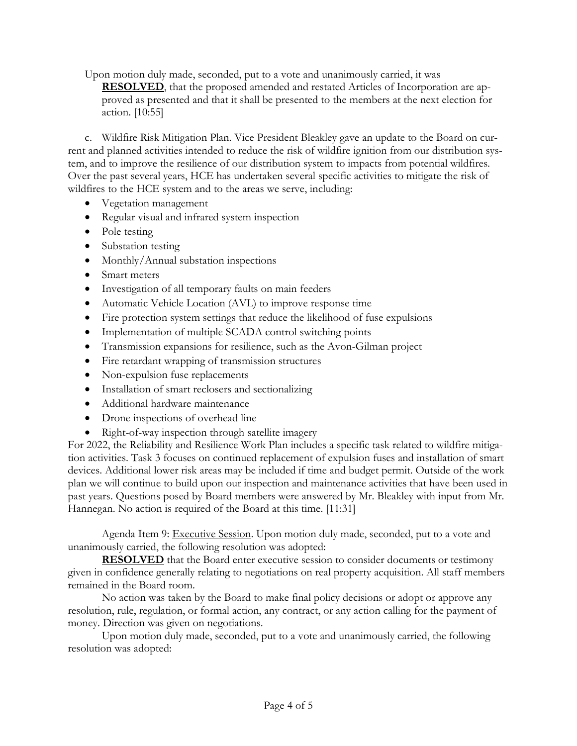Upon motion duly made, seconded, put to a vote and unanimously carried, it was

**RESOLVED**, that the proposed amended and restated Articles of Incorporation are approved as presented and that it shall be presented to the members at the next election for action. [10:55]

c. Wildfire Risk Mitigation Plan. Vice President Bleakley gave an update to the Board on current and planned activities intended to reduce the risk of wildfire ignition from our distribution system, and to improve the resilience of our distribution system to impacts from potential wildfires. Over the past several years, HCE has undertaken several specific activities to mitigate the risk of wildfires to the HCE system and to the areas we serve, including:

- Vegetation management
- Regular visual and infrared system inspection
- Pole testing
- Substation testing
- Monthly/Annual substation inspections
- Smart meters
- Investigation of all temporary faults on main feeders
- Automatic Vehicle Location (AVL) to improve response time
- Fire protection system settings that reduce the likelihood of fuse expulsions
- Implementation of multiple SCADA control switching points
- Transmission expansions for resilience, such as the Avon-Gilman project
- Fire retardant wrapping of transmission structures
- Non-expulsion fuse replacements
- Installation of smart reclosers and sectionalizing
- Additional hardware maintenance
- Drone inspections of overhead line
- Right-of-way inspection through satellite imagery

For 2022, the Reliability and Resilience Work Plan includes a specific task related to wildfire mitigation activities. Task 3 focuses on continued replacement of expulsion fuses and installation of smart devices. Additional lower risk areas may be included if time and budget permit. Outside of the work plan we will continue to build upon our inspection and maintenance activities that have been used in past years. Questions posed by Board members were answered by Mr. Bleakley with input from Mr. Hannegan. No action is required of the Board at this time. [11:31]

Agenda Item 9: Executive Session. Upon motion duly made, seconded, put to a vote and unanimously carried, the following resolution was adopted:

**RESOLVED** that the Board enter executive session to consider documents or testimony given in confidence generally relating to negotiations on real property acquisition. All staff members remained in the Board room.

No action was taken by the Board to make final policy decisions or adopt or approve any resolution, rule, regulation, or formal action, any contract, or any action calling for the payment of money. Direction was given on negotiations.

Upon motion duly made, seconded, put to a vote and unanimously carried, the following resolution was adopted: